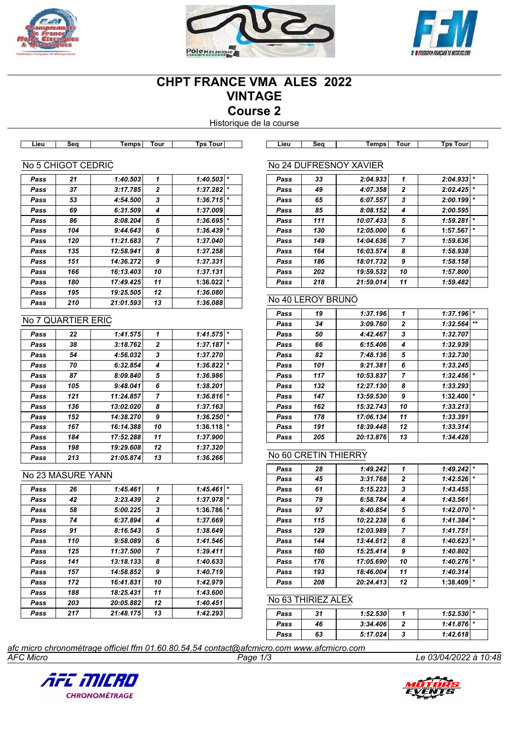





# **CHPT FRANCE VMA ALES 2022 VINTAGE Course 2**

Historique de la course

| .ieu | sea | <b>emps</b> | our | ™our<br>Гnе<br>. |  |
|------|-----|-------------|-----|------------------|--|
|      |     |             |     |                  |  |

**Lieu Seq Temps Tour Tps Tour Lieu Seq Temps Tour Tps Tour**

### No 5 CHIGOT CEDRIC

| Pass | 21  | 1:40.503  | 1              | 1:40.503 | $\star$ |
|------|-----|-----------|----------------|----------|---------|
| Pass | 37  | 3:17.785  | 2              | 1:37.282 | $\star$ |
| Pass | 53  | 4:54.500  | 3              | 1:36.715 | $\star$ |
| Pass | 69  | 6:31.509  | 4              | 1:37.009 |         |
| Pass | 86  | 8:08.204  | 5              | 1:36.695 | $\star$ |
| Pass | 104 | 9:44.643  | 6              | 1:36.439 | *       |
| Pass | 120 | 11:21.683 | $\overline{7}$ | 1:37.040 |         |
| Pass | 135 | 12:58.941 | 8              | 1:37.258 |         |
| Pass | 151 | 14:36.272 | 9              | 1:37.331 |         |
| Pass | 166 | 16:13.403 | 10             | 1:37.131 |         |
| Pass | 180 | 17:49.425 | 11             | 1:36.022 | $\ast$  |
| Pass | 195 | 19:25.505 | 12             | 1:36.080 |         |
| Pass | 210 | 21:01.593 | 13             | 1:36.088 |         |

#### No 7 QUARTIER ERIC

| Pass | 22  | 1:41.575  | 1              | 1:41.575 | $\star$ |
|------|-----|-----------|----------------|----------|---------|
| Pass | 38  | 3:18.762  | $\mathbf{2}$   | 1:37.187 | $\star$ |
| Pass | 54  | 4:56.032  | 3              | 1:37.270 |         |
| Pass | 70  | 6:32.854  | 4              | 1:36.822 | $\star$ |
| Pass | 87  | 8:09.840  | 5              | 1:36.986 |         |
| Pass | 105 | 9:48.041  | 6              | 1:38.201 |         |
| Pass | 121 | 11:24.857 | $\overline{7}$ | 1:36.816 | $\star$ |
| Pass | 136 | 13:02.020 | 8              | 1:37.163 |         |
| Pass | 152 | 14:38.270 | 9              | 1:36.250 | $\star$ |
| Pass | 167 | 16:14.388 | 10             | 1:36.118 | $\star$ |
| Pass | 184 | 17:52.288 | 11             | 1:37.900 |         |
| Pass | 198 | 19:29.608 | 12             | 1:37.320 |         |
| Pass | 213 | 21:05.874 | 13             | 1:36.266 |         |

#### No 23 MASURE YANN

| Pass | 26  | 1:45.461  | 1  | 1:45.461 | $\star$ |
|------|-----|-----------|----|----------|---------|
| Pass | 42  | 3:23.439  | 2  | 1:37.978 | $\star$ |
| Pass | 58  | 5:00.225  | 3  | 1:36.786 | $\star$ |
| Pass | 74  | 6:37.894  | 4  | 1:37.669 |         |
| Pass | 91  | 8:16.543  | 5  | 1:38.649 |         |
| Pass | 110 | 9:58.089  | 6  | 1:41.546 |         |
| Pass | 125 | 11:37.500 | 7  | 1:39.411 |         |
| Pass | 141 | 13:18.133 | 8  | 1:40.633 |         |
| Pass | 157 | 14:58.852 | 9  | 1:40.719 |         |
| Pass | 172 | 16:41.831 | 10 | 1:42.979 |         |
| Pass | 188 | 18:25.431 | 11 | 1:43.600 |         |
| Pass | 203 | 20:05.882 | 12 | 1:40.451 |         |
| Pass | 217 | 21:48.175 | 13 | 1:42.293 |         |

|      |     | No 24 DUFRESNOY XAVIER |              |          |         |
|------|-----|------------------------|--------------|----------|---------|
| Pass | 33  | 2:04.933               | 1            | 2:04.933 | $\star$ |
| Pass | 49  | 4:07.358               | $\mathbf{2}$ | 2:02.425 | $\star$ |
| Pass | 65  | 6:07.557               | 3            | 2:00.199 | $\star$ |
| Pass | 85  | 8:08.152               | 4            | 2:00.595 |         |
| Pass | 111 | 10:07.433              | 5            | 1:59.281 | $\star$ |
| Pass | 130 | 12:05.000              | 6            | 1:57.567 | $\star$ |
| Pass | 149 | 14:04.636              | 7            | 1:59.636 |         |
| Pass | 164 | 16:03.574              | 8            | 1:58.938 |         |
| Pass | 186 | 18:01.732              | 9            | 1:58.158 |         |
| Pass | 202 | 19:59.532              | 10           | 1:57.800 |         |
| Pass | 218 | 21:59.014              | 11           | 1:59.482 |         |

### No 40 LEROY BRUNO

| Pass | 19  | 1:37.196  | 1              | 1:37.196 | $\star$      |
|------|-----|-----------|----------------|----------|--------------|
| Pass | 34  | 3:09.760  | $\mathbf{2}$   | 1:32.564 | $\star\star$ |
| Pass | 50  | 4:42.467  | 3              | 1:32.707 |              |
| Pass | 66  | 6:15.406  | 4              | 1:32.939 |              |
| Pass | 82  | 7:48.136  | 5              | 1:32.730 |              |
| Pass | 101 | 9:21.381  | 6              | 1:33.245 |              |
| Pass | 117 | 10:53.837 | $\overline{7}$ | 1:32.456 | $\star$      |
| Pass | 132 | 12:27.130 | 8              | 1:33.293 |              |
| Pass | 147 | 13:59.530 | 9              | 1:32.400 | $\star$      |
| Pass | 162 | 15:32.743 | 10             | 1:33.213 |              |
| Pass | 178 | 17:06.134 | 11             | 1:33.391 |              |
| Pass | 191 | 18:39.448 | 12             | 1:33.314 |              |
| Pass | 205 | 20:13.876 | 13             | 1:34.428 |              |

#### No 60 CRETIN THIERRY

| Pass | 28  | 1:49.242  | 1              | 1:49.242 | $\star$ |
|------|-----|-----------|----------------|----------|---------|
| Pass | 45  | 3:31.768  | $\overline{2}$ | 1:42.526 | $\star$ |
| Pass | 61  | 5:15.223  | 3              | 1:43.455 |         |
| Pass | 79  | 6:58.784  | 4              | 1:43.561 |         |
| Pass | 97  | 8:40.854  | 5              | 1:42.070 | $\star$ |
| Pass | 115 | 10:22.238 | 6              | 1:41.384 | $\star$ |
| Pass | 129 | 12:03.989 | 7              | 1:41.751 |         |
| Pass | 144 | 13:44.612 | 8              | 1:40.623 | $\star$ |
| Pass | 160 | 15:25.414 | 9              | 1:40.802 |         |
| Pass | 176 | 17:05.690 | 10             | 1:40.276 | $\star$ |
| Pass | 193 | 18:46.004 | 11             | 1:40.314 |         |
| Pass | 208 | 20:24.413 | 12             | 1:38.409 | $\star$ |

### No 63 THIRIEZ ALEX

| Pass | 31 | 1:52.530 | $1:52.530$ * |  |
|------|----|----------|--------------|--|
| Pass | 46 | 3:34.406 | $1:41.876$ * |  |
| Pass | 63 | 5:17.024 | 1:42.618     |  |

*AFC Micro Page 1/3 Le 03/04/2022 à 10:48 afc micro chronométrage officiel ffm 01.60.80.54.54 contact@afcmicro.com www.afcmicro.com*



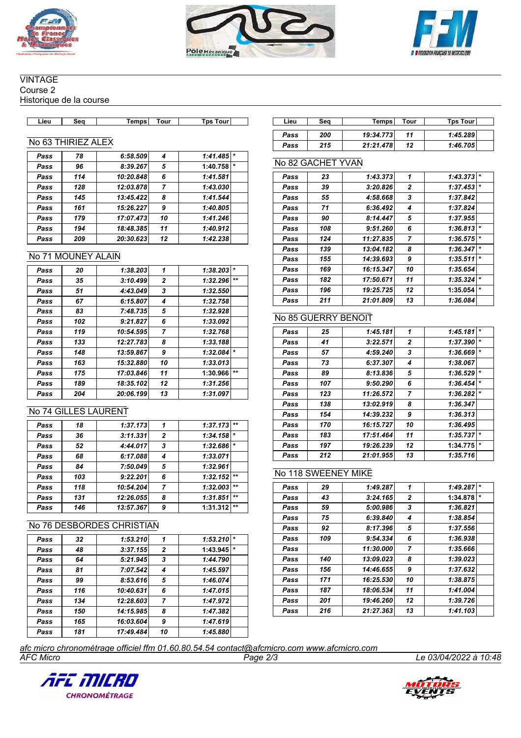





#### **VINTAGE** Course 2

Historique de la course

## No 63 THIRIEZ ALEX

| Pass | 78  | 6:58.509  | 4  | 1:41.485 |         |
|------|-----|-----------|----|----------|---------|
| Pass | 96  | 8:39.267  | 5  | 1:40.758 | $\star$ |
| Pass | 114 | 10:20.848 | 6  | 1:41.581 |         |
| Pass | 128 | 12:03.878 | 7  | 1:43.030 |         |
| Pass | 145 | 13:45.422 | 8  | 1:41.544 |         |
| Pass | 161 | 15:26.227 | 9  | 1:40.805 |         |
| Pass | 179 | 17:07.473 | 10 | 1:41.246 |         |
| Pass | 194 | 18:48.385 | 11 | 1:40.912 |         |
| Pass | 209 | 20:30.623 | 12 | 1:42.238 |         |
|      |     |           |    |          |         |

#### No 71 MOUNEY ALAIN

| Pass | 20  | 1:38.203  | 1            | 1:38.203 | $\star$ |
|------|-----|-----------|--------------|----------|---------|
| Pass | 35  | 3:10.499  | $\mathbf{2}$ | 1:32.296 | $+ +$   |
| Pass | 51  | 4:43.049  | 3            | 1:32.550 |         |
| Pass | 67  | 6:15.807  | 4            | 1:32.758 |         |
| Pass | 83  | 7:48.735  | 5            | 1:32.928 |         |
| Pass | 102 | 9:21.827  | 6            | 1:33.092 |         |
| Pass | 119 | 10:54.595 | 7            | 1:32.768 |         |
| Pass | 133 | 12:27.783 | 8            | 1:33.188 |         |
| Pass | 148 | 13:59.867 | 9            | 1:32.084 | $\star$ |
| Pass | 163 | 15:32.880 | 10           | 1:33.013 |         |
| Pass | 175 | 17:03.846 | 11           | 1:30.966 | $***$   |
| Pass | 189 | 18:35.102 | 12           | 1:31.256 |         |
| Pass | 204 | 20:06.199 | 13           | 1:31.097 |         |
|      |     |           |              |          |         |

### No 74 GILLES LAURENT

| Pass | 18  | 1:37.173  | 1              | 1:37.173 | $**$    |
|------|-----|-----------|----------------|----------|---------|
| Pass | 36  | 3:11.331  | $\overline{2}$ | 1:34.158 | $\star$ |
| Pass | 52  | 4:44.017  | 3              | 1:32.686 | $\star$ |
| Pass | 68  | 6:17.088  | 4              | 1:33.071 |         |
| Pass | 84  | 7:50.049  | 5              | 1:32.961 |         |
| Pass | 103 | 9:22.201  | 6              | 1:32.152 | $***$   |
| Pass | 118 | 10:54.204 | 7              | 1:32.003 | $***$   |
| Pass | 131 | 12:26.055 | 8              | 1:31.851 | $***$   |
| Pass | 146 | 13:57.367 | 9              | 1:31.312 | $***$   |

### No 76 DESBORDES CHRISTIAN

| Pass | 32  | 1:53.210  | 1              | 1:53.210 | $\star$ |
|------|-----|-----------|----------------|----------|---------|
| Pass | 48  | 3:37.155  | $\overline{2}$ | 1:43.945 | $\star$ |
| Pass | 64  | 5:21.945  | 3              | 1:44.790 |         |
| Pass | 81  | 7:07.542  | 4              | 1:45.597 |         |
| Pass | 99  | 8:53.616  | 5              | 1:46.074 |         |
| Pass | 116 | 10:40.631 | 6              | 1:47.015 |         |
| Pass | 134 | 12:28.603 | 7              | 1:47.972 |         |
| Pass | 150 | 14:15.985 | 8              | 1:47.382 |         |
| Pass | 165 | 16:03.604 | 9              | 1:47.619 |         |
| Pass | 181 | 17:49.484 | 10             | 1:45.880 |         |

| Lieu | Sea | Temps     | Tour | Tps Tourl |
|------|-----|-----------|------|-----------|
| Pass | 200 | 19:34.773 | 11   | 1:45.289  |
| Pass | 215 | 21:21.478 | 12   | 1:46.705  |

### No 82 GACHET YVAN

| Pass | 23  | 1:43.373  | 1            | 1:43.373 | $\ast$  |
|------|-----|-----------|--------------|----------|---------|
| Pass | 39  | 3:20.826  | $\mathbf{2}$ | 1:37.453 | $\ast$  |
| Pass | 55  | 4:58.668  | 3            | 1:37.842 |         |
| Pass | 71  | 6:36.492  | 4            | 1:37.824 |         |
| Pass | 90  | 8:14.447  | 5            | 1:37.955 |         |
| Pass | 108 | 9:51.260  | 6            | 1:36.813 | $\star$ |
| Pass | 124 | 11:27.835 | 7            | 1:36.575 | $\ast$  |
| Pass | 139 | 13:04.182 | 8            | 1:36.347 | $\ast$  |
| Pass | 155 | 14:39.693 | 9            | 1:35.511 | $\ast$  |
| Pass | 169 | 16:15.347 | 10           | 1:35.654 |         |
| Pass | 182 | 17:50.671 | 11           | 1:35.324 | $\ast$  |
| Pass | 196 | 19:25.725 | 12           | 1:35.054 | $\ast$  |
| Pass | 211 | 21:01.809 | 13           | 1:36.084 |         |

### No 85 GUERRY BENOIT

| Pass | 25  | 1:45.181  | 1              | 1:45.181 | $\star$ |
|------|-----|-----------|----------------|----------|---------|
| Pass | 41  | 3:22.571  | $\mathbf{2}$   | 1:37.390 | $\star$ |
| Pass | 57  | 4:59.240  | 3              | 1:36.669 | $\star$ |
| Pass | 73  | 6:37.307  | 4              | 1:38.067 |         |
| Pass | 89  | 8:13.836  | 5              | 1:36.529 | $\star$ |
| Pass | 107 | 9:50.290  | 6              | 1:36.454 | $\star$ |
| Pass | 123 | 11:26.572 | $\overline{7}$ | 1:36.282 | $\star$ |
| Pass | 138 | 13:02.919 | 8              | 1:36.347 |         |
| Pass | 154 | 14:39.232 | 9              | 1:36.313 |         |
| Pass | 170 | 16:15.727 | 10             | 1:36.495 |         |
| Pass | 183 | 17:51.464 | 11             | 1:35.737 | $\star$ |
| Pass | 197 | 19:26.239 | 12             | 1:34.775 | $\star$ |
| Pass | 212 | 21:01.955 | 13             | 1:35.716 |         |

#### No 118 SWEENEY MIKE

| Pass | 29  | 1:49.287  | 1              | 1:49.287 | $\star$ |
|------|-----|-----------|----------------|----------|---------|
| Pass | 43  | 3:24.165  | $\mathbf{2}$   | 1:34.878 | $\star$ |
| Pass | 59  | 5:00.986  | 3              | 1:36.821 |         |
| Pass | 75  | 6:39.840  | 4              | 1:38.854 |         |
| Pass | 92  | 8:17.396  | 5              | 1:37.556 |         |
| Pass | 109 | 9:54.334  | 6              | 1:36.938 |         |
| Pass |     | 11:30.000 | $\overline{7}$ | 1:35.666 |         |
| Pass | 140 | 13:09.023 | 8              | 1:39.023 |         |
| Pass | 156 | 14:46.655 | 9              | 1:37.632 |         |
| Pass | 171 | 16:25.530 | 10             | 1:38.875 |         |
| Pass | 187 | 18:06.534 | 11             | 1:41.004 |         |
| Pass | 201 | 19:46.260 | 12             | 1:39.726 |         |
| Pass | 216 | 21:27.363 | 13             | 1:41.103 |         |

*AFC Micro Page 2/3 Le 03/04/2022 à 10:48 afc micro chronométrage officiel ffm 01.60.80.54.54 contact@afcmicro.com www.afcmicro.com*